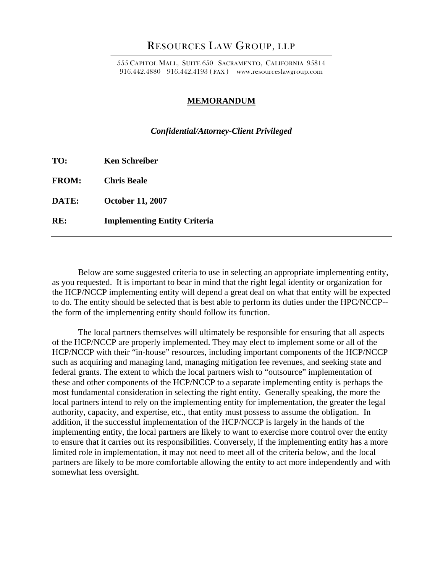## RESOURCES LAW GROUP, LLP

555 CAPITOL MALL, SUITE 650 SACRAMENTO, CALIFORNIA 95814 916.442.4880 916.442.4193 ( FAX ) www.resourceslawgroup.com

## **MEMORANDUM**

## *Confidential/Attorney-Client Privileged*

| TO:<br><b>Ken Schreiber</b> |
|-----------------------------|
|-----------------------------|

**FROM: Chris Beale** 

**DATE: October 11, 2007** 

**RE: Implementing Entity Criteria** 

Below are some suggested criteria to use in selecting an appropriate implementing entity, as you requested. It is important to bear in mind that the right legal identity or organization for the HCP/NCCP implementing entity will depend a great deal on what that entity will be expected to do. The entity should be selected that is best able to perform its duties under the HPC/NCCP- the form of the implementing entity should follow its function.

The local partners themselves will ultimately be responsible for ensuring that all aspects of the HCP/NCCP are properly implemented. They may elect to implement some or all of the HCP/NCCP with their "in-house" resources, including important components of the HCP/NCCP such as acquiring and managing land, managing mitigation fee revenues, and seeking state and federal grants. The extent to which the local partners wish to "outsource" implementation of these and other components of the HCP/NCCP to a separate implementing entity is perhaps the most fundamental consideration in selecting the right entity. Generally speaking, the more the local partners intend to rely on the implementing entity for implementation, the greater the legal authority, capacity, and expertise, etc., that entity must possess to assume the obligation. In addition, if the successful implementation of the HCP/NCCP is largely in the hands of the implementing entity, the local partners are likely to want to exercise more control over the entity to ensure that it carries out its responsibilities. Conversely, if the implementing entity has a more limited role in implementation, it may not need to meet all of the criteria below, and the local partners are likely to be more comfortable allowing the entity to act more independently and with somewhat less oversight.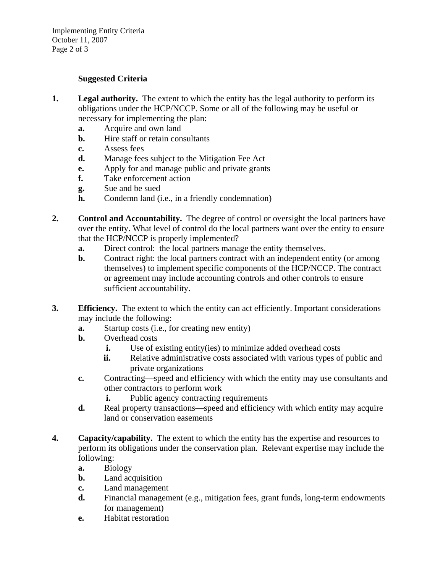Implementing Entity Criteria October 11, 2007 Page 2 of 3

## **Suggested Criteria**

- **1. Legal authority.** The extent to which the entity has the legal authority to perform its obligations under the HCP/NCCP. Some or all of the following may be useful or necessary for implementing the plan:
	- **a.** Acquire and own land
	- **b.** Hire staff or retain consultants
	- **c.** Assess fees
	- **d.** Manage fees subject to the Mitigation Fee Act
	- **e.** Apply for and manage public and private grants
	- **f.** Take enforcement action
	- **g.** Sue and be sued
	- **h.** Condemn land (i.e., in a friendly condemnation)
- **2. Control and Accountability.** The degree of control or oversight the local partners have over the entity. What level of control do the local partners want over the entity to ensure that the HCP/NCCP is properly implemented?
	- **a.** Direct control: the local partners manage the entity themselves.
	- **b.** Contract right: the local partners contract with an independent entity (or among themselves) to implement specific components of the HCP/NCCP. The contract or agreement may include accounting controls and other controls to ensure sufficient accountability.
- **3. Efficiency.** The extent to which the entity can act efficiently. Important considerations may include the following:
	- **a.** Startup costs (i.e., for creating new entity)
	- **b.** Overhead costs
		- **i.** Use of existing entity(ies) to minimize added overhead costs
		- **ii.** Relative administrative costs associated with various types of public and private organizations
	- **c.** Contracting—speed and efficiency with which the entity may use consultants and other contractors to perform work
		- **i.** Public agency contracting requirements
	- **d.** Real property transactions—speed and efficiency with which entity may acquire land or conservation easements
- **4. Capacity/capability.** The extent to which the entity has the expertise and resources to perform its obligations under the conservation plan. Relevant expertise may include the following:
	- **a.** Biology
	- **b.** Land acquisition
	- **c.** Land management
	- **d.** Financial management (e.g., mitigation fees, grant funds, long-term endowments for management)
	- **e.** Habitat restoration